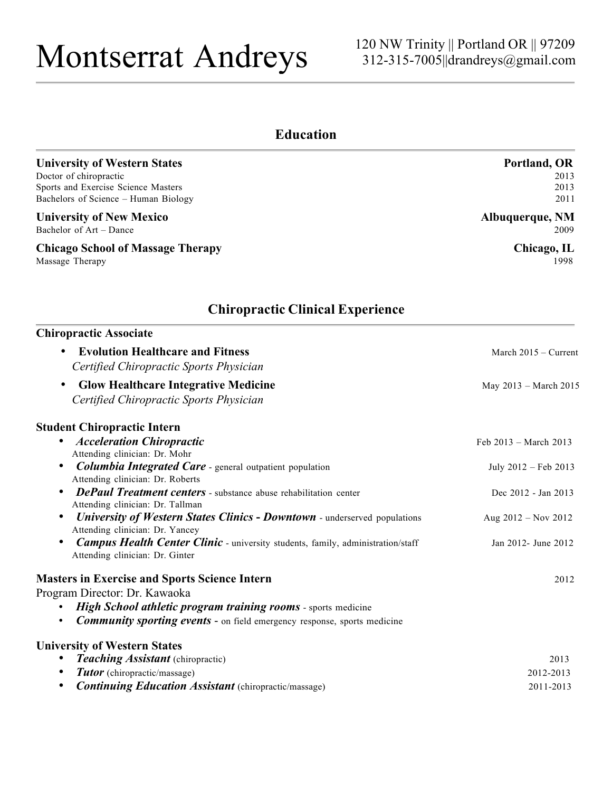# Montserrat Andreys

## **Education**

| <b>University of Western States</b><br>Doctor of chiropractic<br>Sports and Exercise Science Masters<br>Bachelors of Science - Human Biology<br><b>University of New Mexico</b><br>Bachelor of Art - Dance<br><b>Chicago School of Massage Therapy</b><br>Massage Therapy | Portland, OR<br>2013<br>2013<br>2011<br>Albuquerque, NM<br>2009<br>Chicago, IL<br>1998 |                                                                                    |                        |
|---------------------------------------------------------------------------------------------------------------------------------------------------------------------------------------------------------------------------------------------------------------------------|----------------------------------------------------------------------------------------|------------------------------------------------------------------------------------|------------------------|
|                                                                                                                                                                                                                                                                           |                                                                                        | <b>Chiropractic Clinical Experience</b>                                            |                        |
|                                                                                                                                                                                                                                                                           |                                                                                        | <b>Chiropractic Associate</b>                                                      |                        |
|                                                                                                                                                                                                                                                                           |                                                                                        | <b>Evolution Healthcare and Fitness</b><br>Certified Chiropractic Sports Physician | March $2015 -$ Current |
| <b>Glow Healthcare Integrative Medicine</b><br>$\bullet$<br>Certified Chiropractic Sports Physician                                                                                                                                                                       | May 2013 - March 2015                                                                  |                                                                                    |                        |
| <b>Student Chiropractic Intern</b>                                                                                                                                                                                                                                        |                                                                                        |                                                                                    |                        |
| <b>Acceleration Chiropractic</b><br>$\bullet$<br>Attending clinician: Dr. Mohr                                                                                                                                                                                            | Feb $2013 - March 2013$                                                                |                                                                                    |                        |
| <b>Columbia Integrated Care</b> - general outpatient population<br>$\bullet$<br>Attending clinician: Dr. Roberts                                                                                                                                                          | July 2012 - Feb 2013                                                                   |                                                                                    |                        |
| <b>DePaul Treatment centers</b> - substance abuse rehabilitation center<br>$\bullet$                                                                                                                                                                                      | Dec 2012 - Jan 2013                                                                    |                                                                                    |                        |
| Attending clinician: Dr. Tallman<br><b>University of Western States Clinics - Downtown</b> - underserved populations<br>Attending clinician: Dr. Yancey                                                                                                                   | Aug $2012 - Nov 2012$                                                                  |                                                                                    |                        |
| <b>Campus Health Center Clinic</b> - university students, family, administration/staff<br>Attending clinician: Dr. Ginter                                                                                                                                                 | Jan 2012- June 2012                                                                    |                                                                                    |                        |
| <b>Masters in Exercise and Sports Science Intern</b>                                                                                                                                                                                                                      | 2012                                                                                   |                                                                                    |                        |
| Program Director: Dr. Kawaoka                                                                                                                                                                                                                                             |                                                                                        |                                                                                    |                        |
| High School athletic program training rooms - sports medicine                                                                                                                                                                                                             |                                                                                        |                                                                                    |                        |
| <b>Community sporting events -</b> on field emergency response, sports medicine                                                                                                                                                                                           |                                                                                        |                                                                                    |                        |
| <b>University of Western States</b>                                                                                                                                                                                                                                       |                                                                                        |                                                                                    |                        |
| <b>Teaching Assistant</b> (chiropractic)                                                                                                                                                                                                                                  | 2013                                                                                   |                                                                                    |                        |
| <b>Tutor</b> (chiropractic/massage)                                                                                                                                                                                                                                       | 2012-2013                                                                              |                                                                                    |                        |

• *Continuing Education Assistant* (chiropractic/massage) 2011-2013